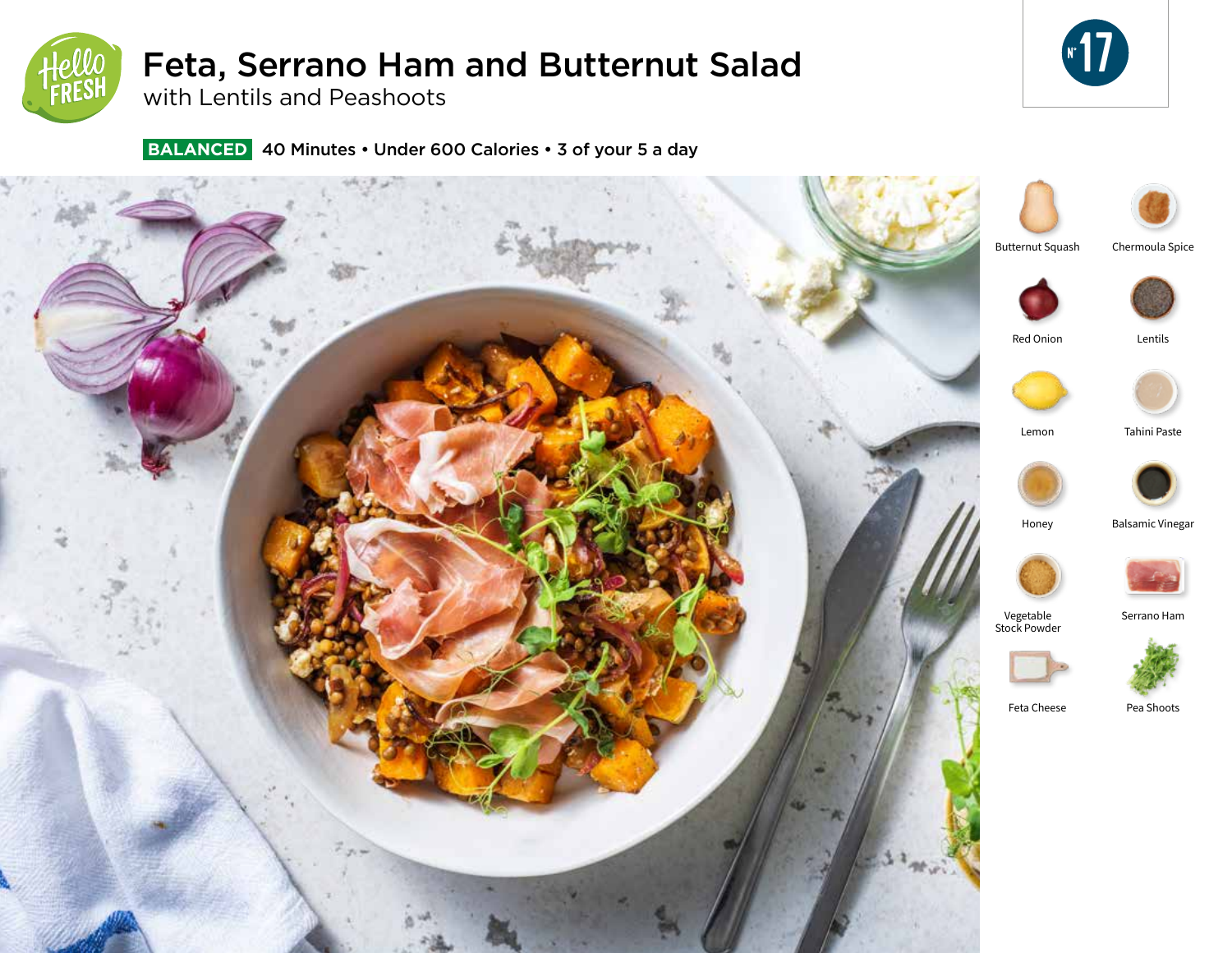

# Feta, Serrano Ham and Butternut Salad

**17** 

with Lentils and Peashoots

 **BALANCED** 40 Minutes • Under 600 Calories • 3 of your 5 a day